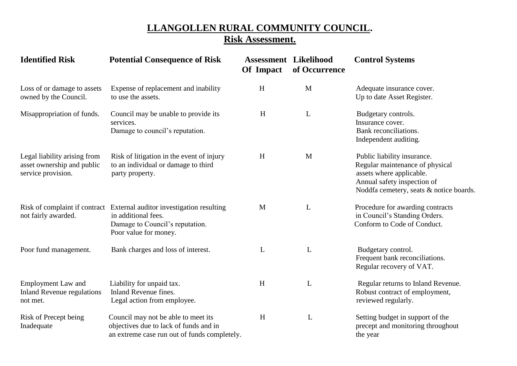## **LLANGOLLEN RURAL COMMUNITY COUNCIL. Risk Assessment.**

| <b>Identified Risk</b>                                                           | <b>Potential Consequence of Risk</b>                                                                                                                      | <b>Assessment Likelihood</b><br>Of Impact | of Occurrence | <b>Control Systems</b>                                                                                                                                               |
|----------------------------------------------------------------------------------|-----------------------------------------------------------------------------------------------------------------------------------------------------------|-------------------------------------------|---------------|----------------------------------------------------------------------------------------------------------------------------------------------------------------------|
| Loss of or damage to assets<br>owned by the Council.                             | Expense of replacement and inability<br>to use the assets.                                                                                                | H                                         | M             | Adequate insurance cover.<br>Up to date Asset Register.                                                                                                              |
| Misappropriation of funds.                                                       | Council may be unable to provide its<br>services.<br>Damage to council's reputation.                                                                      | H                                         | $\mathbf L$   | Budgetary controls.<br>Insurance cover.<br>Bank reconciliations.<br>Independent auditing.                                                                            |
| Legal liability arising from<br>asset ownership and public<br>service provision. | Risk of litigation in the event of injury<br>to an individual or damage to third<br>party property.                                                       | $\boldsymbol{\mathrm{H}}$                 | M             | Public liability insurance.<br>Regular maintenance of physical<br>assets where applicable.<br>Annual safety inspection of<br>Noddfa cemetery, seats & notice boards. |
| not fairly awarded.                                                              | Risk of complaint if contract External auditor investigation resulting<br>in additional fees.<br>Damage to Council's reputation.<br>Poor value for money. | M                                         | L             | Procedure for awarding contracts<br>in Council's Standing Orders.<br>Conform to Code of Conduct.                                                                     |
| Poor fund management.                                                            | Bank charges and loss of interest.                                                                                                                        | L                                         | L             | Budgetary control.<br>Frequent bank reconciliations.<br>Regular recovery of VAT.                                                                                     |
| <b>Employment Law and</b><br><b>Inland Revenue regulations</b><br>not met.       | Liability for unpaid tax.<br>Inland Revenue fines.<br>Legal action from employee.                                                                         | H                                         | L             | Regular returns to Inland Revenue.<br>Robust contract of employment,<br>reviewed regularly.                                                                          |
| Risk of Precept being<br>Inadequate                                              | Council may not be able to meet its<br>objectives due to lack of funds and in<br>an extreme case run out of funds completely.                             | H                                         | L             | Setting budget in support of the<br>precept and monitoring throughout<br>the year                                                                                    |